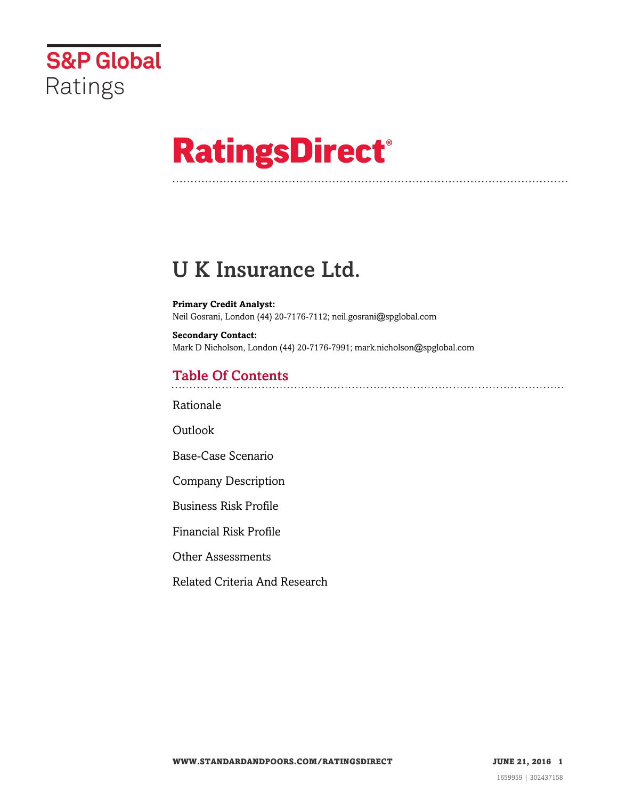

# **RatingsDirect®**

## U K Insurance Ltd.

**Primary Credit Analyst:** Neil Gosrani, London (44) 20-7176-7112; neil.gosrani@spglobal.com

**Secondary Contact:** Mark D Nicholson, London (44) 20-7176-7991; mark.nicholson@spglobal.com

## Table Of Contents

[Rationale](#page-1-0)

Outlook

[Base-Case Scenario](#page-2-0)

[Company Description](#page-3-0)

[Business Risk Profile](#page-3-1)

[Financial Risk Profile](#page-5-0)

[Other Assessments](#page-7-0)

[Related Criteria And Research](#page-7-1)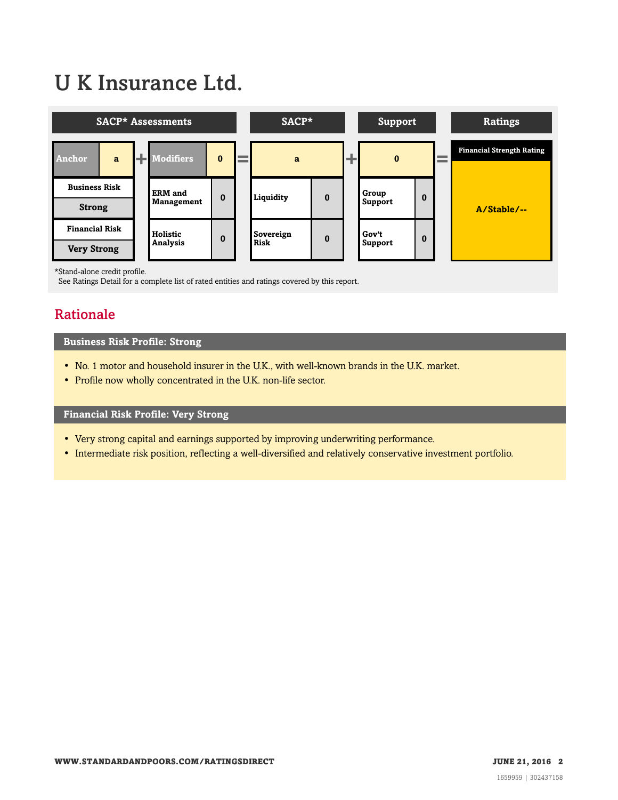## U K Insurance Ltd.



\*Stand-alone credit profile.

<span id="page-1-0"></span>See Ratings Detail for a complete list of rated entities and ratings covered by this report.

## Rationale

## **Business Risk Profile: Strong**

- No. 1 motor and household insurer in the U.K., with well-known brands in the U.K. market.
- Profile now wholly concentrated in the U.K. non-life sector.

## **Financial Risk Profile: Very Strong**

- Very strong capital and earnings supported by improving underwriting performance.
- Intermediate risk position, reflecting a well-diversified and relatively conservative investment portfolio.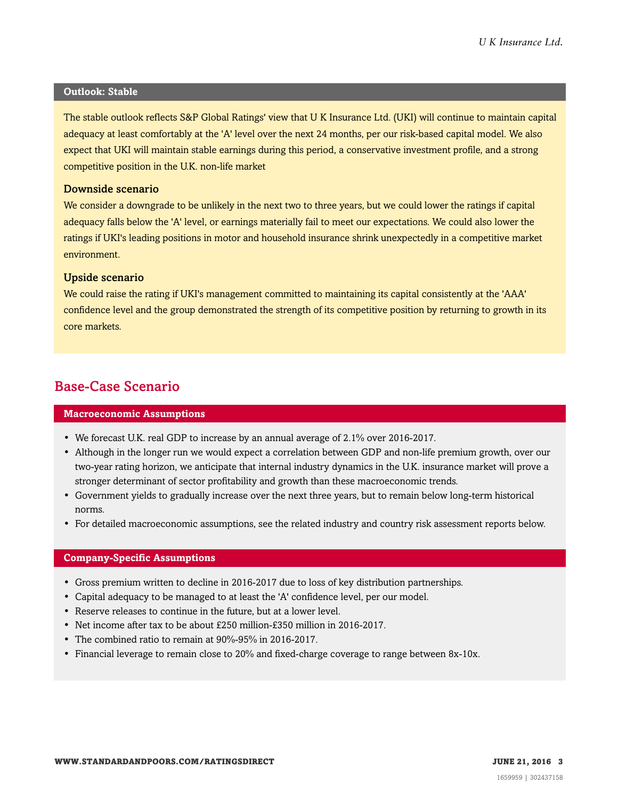#### **Outlook: Stable**

The stable outlook reflects S&P Global Ratings' view that U K Insurance Ltd. (UKI) will continue to maintain capital adequacy at least comfortably at the 'A' level over the next 24 months, per our risk-based capital model. We also expect that UKI will maintain stable earnings during this period, a conservative investment profile, and a strong competitive position in the U.K. non-life market

### Downside scenario

We consider a downgrade to be unlikely in the next two to three years, but we could lower the ratings if capital adequacy falls below the 'A' level, or earnings materially fail to meet our expectations. We could also lower the ratings if UKI's leading positions in motor and household insurance shrink unexpectedly in a competitive market environment.

## Upside scenario

We could raise the rating if UKI's management committed to maintaining its capital consistently at the 'AAA' confidence level and the group demonstrated the strength of its competitive position by returning to growth in its core markets.

## <span id="page-2-0"></span>Base-Case Scenario

#### **Macroeconomic Assumptions**

- We forecast U.K. real GDP to increase by an annual average of 2.1% over 2016-2017.
- Although in the longer run we would expect a correlation between GDP and non-life premium growth, over our two-year rating horizon, we anticipate that internal industry dynamics in the U.K. insurance market will prove a stronger determinant of sector profitability and growth than these macroeconomic trends.
- Government yields to gradually increase over the next three years, but to remain below long-term historical norms.
- For detailed macroeconomic assumptions, see the related industry and country risk assessment reports below.

#### **Company-Specific Assumptions**

- Gross premium written to decline in 2016-2017 due to loss of key distribution partnerships.
- Capital adequacy to be managed to at least the 'A' confidence level, per our model.
- Reserve releases to continue in the future, but at a lower level.
- Net income after tax to be about £250 million-£350 million in 2016-2017.
- The combined ratio to remain at 90%-95% in 2016-2017.
- Financial leverage to remain close to 20% and fixed-charge coverage to range between 8x-10x.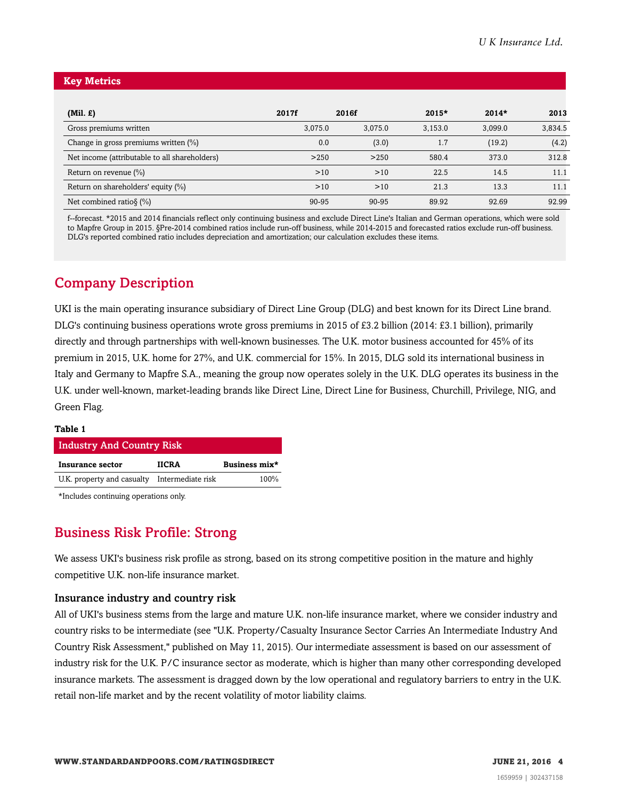### **Key Metrics**

| $(Mil. \mathcal{L})$                          | 2017f   | 2016f   | $2015*$ | $2014*$ | 2013    |
|-----------------------------------------------|---------|---------|---------|---------|---------|
| Gross premiums written                        | 3,075.0 | 3,075.0 | 3,153.0 | 3,099.0 | 3,834.5 |
| Change in gross premiums written (%)          | 0.0     | (3.0)   | 1.7     | (19.2)  | (4.2)   |
| Net income (attributable to all shareholders) | >250    | >250    | 580.4   | 373.0   | 312.8   |
| Return on revenue $(\%)$                      | >10     | >10     | 22.5    | 14.5    | 11.1    |
| Return on shareholders' equity (%)            | >10     | >10     | 21.3    | 13.3    | 11.1    |
| Net combined ratio§ $(\%)$                    | 90-95   | 90-95   | 89.92   | 92.69   | 92.99   |

f--forecast. \*2015 and 2014 financials reflect only continuing business and exclude Direct Line's Italian and German operations, which were sold to Mapfre Group in 2015. §Pre-2014 combined ratios include run-off business, while 2014-2015 and forecasted ratios exclude run-off business. DLG's reported combined ratio includes depreciation and amortization; our calculation excludes these items.

## <span id="page-3-0"></span>Company Description

UKI is the main operating insurance subsidiary of Direct Line Group (DLG) and best known for its Direct Line brand. DLG's continuing business operations wrote gross premiums in 2015 of £3.2 billion (2014: £3.1 billion), primarily directly and through partnerships with well-known businesses. The U.K. motor business accounted for 45% of its premium in 2015, U.K. home for 27%, and U.K. commercial for 15%. In 2015, DLG sold its international business in Italy and Germany to Mapfre S.A., meaning the group now operates solely in the U.K. DLG operates its business in the U.K. under well-known, market-leading brands like Direct Line, Direct Line for Business, Churchill, Privilege, NIG, and Green Flag.

#### **Table 1**

| <b>Industry And Country Risk</b> |                   |               |  |  |  |
|----------------------------------|-------------------|---------------|--|--|--|
| Insurance sector                 | <b>IICRA</b>      | Business mix* |  |  |  |
| U.K. property and casualty       | Intermediate risk | 100%          |  |  |  |

<span id="page-3-1"></span>\*Includes continuing operations only.

## Business Risk Profile: Strong

We assess UKI's business risk profile as strong, based on its strong competitive position in the mature and highly competitive U.K. non-life insurance market.

## Insurance industry and country risk

All of UKI's business stems from the large and mature U.K. non-life insurance market, where we consider industry and country risks to be intermediate (see "U.K. Property/Casualty Insurance Sector Carries An Intermediate Industry And Country Risk Assessment," published on May 11, 2015). Our intermediate assessment is based on our assessment of industry risk for the U.K. P/C insurance sector as moderate, which is higher than many other corresponding developed insurance markets. The assessment is dragged down by the low operational and regulatory barriers to entry in the U.K. retail non-life market and by the recent volatility of motor liability claims.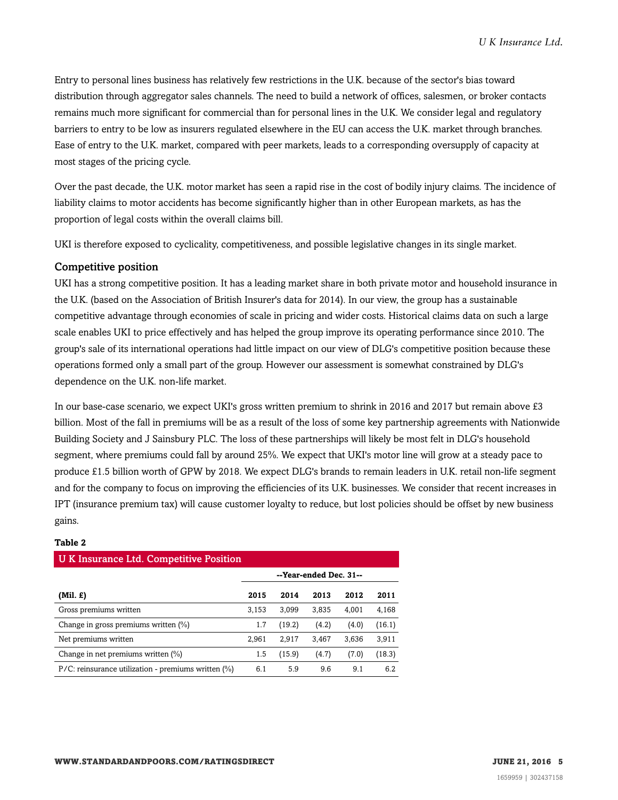Entry to personal lines business has relatively few restrictions in the U.K. because of the sector's bias toward distribution through aggregator sales channels. The need to build a network of offices, salesmen, or broker contacts remains much more significant for commercial than for personal lines in the U.K. We consider legal and regulatory barriers to entry to be low as insurers regulated elsewhere in the EU can access the U.K. market through branches. Ease of entry to the U.K. market, compared with peer markets, leads to a corresponding oversupply of capacity at most stages of the pricing cycle.

Over the past decade, the U.K. motor market has seen a rapid rise in the cost of bodily injury claims. The incidence of liability claims to motor accidents has become significantly higher than in other European markets, as has the proportion of legal costs within the overall claims bill.

UKI is therefore exposed to cyclicality, competitiveness, and possible legislative changes in its single market.

## Competitive position

UKI has a strong competitive position. It has a leading market share in both private motor and household insurance in the U.K. (based on the Association of British Insurer's data for 2014). In our view, the group has a sustainable competitive advantage through economies of scale in pricing and wider costs. Historical claims data on such a large scale enables UKI to price effectively and has helped the group improve its operating performance since 2010. The group's sale of its international operations had little impact on our view of DLG's competitive position because these operations formed only a small part of the group. However our assessment is somewhat constrained by DLG's dependence on the U.K. non-life market.

In our base-case scenario, we expect UKI's gross written premium to shrink in 2016 and 2017 but remain above £3 billion. Most of the fall in premiums will be as a result of the loss of some key partnership agreements with Nationwide Building Society and J Sainsbury PLC. The loss of these partnerships will likely be most felt in DLG's household segment, where premiums could fall by around 25%. We expect that UKI's motor line will grow at a steady pace to produce £1.5 billion worth of GPW by 2018. We expect DLG's brands to remain leaders in U.K. retail non-life segment and for the company to focus on improving the efficiencies of its U.K. businesses. We consider that recent increases in IPT (insurance premium tax) will cause customer loyalty to reduce, but lost policies should be offset by new business gains.

#### **Table 2**

| U K Insurance Ltd. Competitive Position             |                        |        |       |       |        |
|-----------------------------------------------------|------------------------|--------|-------|-------|--------|
|                                                     | --Year-ended Dec. 31-- |        |       |       |        |
| $(Mil. \mathcal{L})$                                | 2015                   | 2014   | 2013  | 2012  | 2011   |
| Gross premiums written                              | 3,153                  | 3.099  | 3,835 | 4.001 | 4,168  |
| Change in gross premiums written (%)                | 1.7                    | (19.2) | (4.2) | (4.0) | (16.1) |
| Net premiums written                                | 2,961                  | 2.917  | 3,467 | 3.636 | 3,911  |
| Change in net premiums written (%)                  | 1.5                    | (15.9) | (4.7) | (7.0) | (18.3) |
| P/C: reinsurance utilization - premiums written (%) | 6.1                    | 5.9    | 9.6   | 9.1   | 6.2    |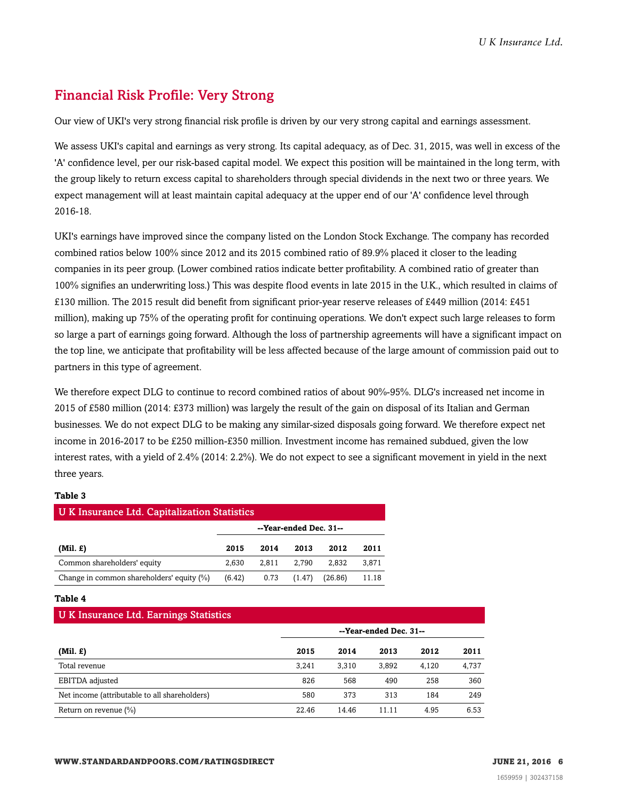## <span id="page-5-0"></span>Financial Risk Profile: Very Strong

Our view of UKI's very strong financial risk profile is driven by our very strong capital and earnings assessment.

We assess UKI's capital and earnings as very strong. Its capital adequacy, as of Dec. 31, 2015, was well in excess of the 'A' confidence level, per our risk-based capital model. We expect this position will be maintained in the long term, with the group likely to return excess capital to shareholders through special dividends in the next two or three years. We expect management will at least maintain capital adequacy at the upper end of our 'A' confidence level through 2016-18.

UKI's earnings have improved since the company listed on the London Stock Exchange. The company has recorded combined ratios below 100% since 2012 and its 2015 combined ratio of 89.9% placed it closer to the leading companies in its peer group. (Lower combined ratios indicate better profitability. A combined ratio of greater than 100% signifies an underwriting loss.) This was despite flood events in late 2015 in the U.K., which resulted in claims of £130 million. The 2015 result did benefit from significant prior-year reserve releases of £449 million (2014: £451 million), making up 75% of the operating profit for continuing operations. We don't expect such large releases to form so large a part of earnings going forward. Although the loss of partnership agreements will have a significant impact on the top line, we anticipate that profitability will be less affected because of the large amount of commission paid out to partners in this type of agreement.

We therefore expect DLG to continue to record combined ratios of about 90%-95%. DLG's increased net income in 2015 of £580 million (2014: £373 million) was largely the result of the gain on disposal of its Italian and German businesses. We do not expect DLG to be making any similar-sized disposals going forward. We therefore expect net income in 2016-2017 to be £250 million-£350 million. Investment income has remained subdued, given the low interest rates, with a yield of 2.4% (2014: 2.2%). We do not expect to see a significant movement in yield in the next three years.

## **Table 3**

| U K Insurance Ltd. Capitalization Statistics |                        |       |        |         |       |  |  |
|----------------------------------------------|------------------------|-------|--------|---------|-------|--|--|
|                                              | --Year-ended Dec. 31-- |       |        |         |       |  |  |
| $(Mil. \mathcal{L})$                         | 2015                   | 2014  | 2013   | 2012    | 2011  |  |  |
| Common shareholders' equity                  | 2.630                  | 2.811 | 2.790  | 2.832   | 3,871 |  |  |
| Change in common shareholders' equity (%)    | (6.42)                 | 0.73  | (1.47) | (26.86) | 11.18 |  |  |

#### **Table 4**

| U K Insurance Ltd. Earnings Statistics        |                        |       |       |       |       |  |  |  |
|-----------------------------------------------|------------------------|-------|-------|-------|-------|--|--|--|
|                                               | --Year-ended Dec. 31-- |       |       |       |       |  |  |  |
| $(Mil. \tE)$                                  | 2015                   | 2014  | 2013  | 2012  | 2011  |  |  |  |
| Total revenue                                 | 3.241                  | 3.310 | 3.892 | 4.120 | 4,737 |  |  |  |
| EBITDA adjusted                               | 826                    | 568   | 490   | 258   | 360   |  |  |  |
| Net income (attributable to all shareholders) | 580                    | 373   | 313   | 184   | 249   |  |  |  |
| Return on revenue $(\%)$                      | 22.46                  | 14.46 | 11.11 | 4.95  | 6.53  |  |  |  |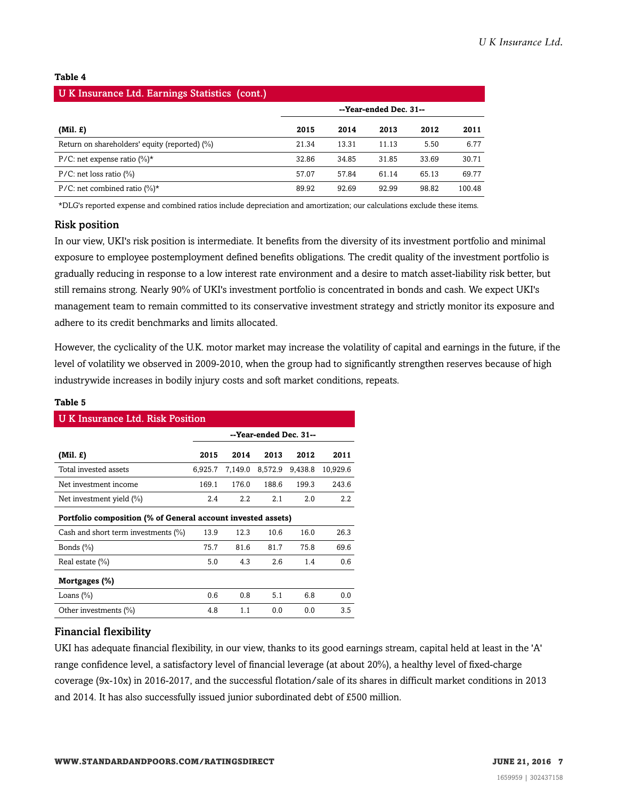#### **Table 4**

| U K Insurance Ltd. Earnings Statistics (cont.)    |                        |       |       |       |        |
|---------------------------------------------------|------------------------|-------|-------|-------|--------|
|                                                   | --Year-ended Dec. 31-- |       |       |       |        |
| $(Mil. \, \pounds)$                               | 2015                   | 2014  | 2013  | 2012  | 2011   |
| Return on shareholders' equity (reported) (%)     | 21.34                  | 13.31 | 11.13 | 5.50  | 6.77   |
| P/C: net expense ratio $(\%)^*$                   | 32.86                  | 34.85 | 31.85 | 33.69 | 30.71  |
| $P/C$ : net loss ratio $\left(\frac{9}{0}\right)$ | 57.07                  | 57.84 | 61.14 | 65.13 | 69.77  |
| P/C: net combined ratio $(\%)^*$                  | 89.92                  | 92.69 | 92.99 | 98.82 | 100.48 |

\*DLG's reported expense and combined ratios include depreciation and amortization; our calculations exclude these items.

#### Risk position

In our view, UKI's risk position is intermediate. It benefits from the diversity of its investment portfolio and minimal exposure to employee postemployment defined benefits obligations. The credit quality of the investment portfolio is gradually reducing in response to a low interest rate environment and a desire to match asset-liability risk better, but still remains strong. Nearly 90% of UKI's investment portfolio is concentrated in bonds and cash. We expect UKI's management team to remain committed to its conservative investment strategy and strictly monitor its exposure and adhere to its credit benchmarks and limits allocated.

However, the cyclicality of the U.K. motor market may increase the volatility of capital and earnings in the future, if the level of volatility we observed in 2009-2010, when the group had to significantly strengthen reserves because of high industrywide increases in bodily injury costs and soft market conditions, repeats.

| <b>U K Insurance Ltd. Risk Position</b>                      |                        |         |         |         |          |  |  |
|--------------------------------------------------------------|------------------------|---------|---------|---------|----------|--|--|
|                                                              | --Year-ended Dec. 31-- |         |         |         |          |  |  |
| $(Mil. \mathcal{L})$                                         | 2015                   | 2014    | 2013    | 2012    | 2011     |  |  |
| Total invested assets                                        | 6,925.7                | 7,149.0 | 8,572.9 | 9,438.8 | 10,929.6 |  |  |
| Net investment income                                        | 169.1                  | 176.0   | 188.6   | 199.3   | 243.6    |  |  |
| Net investment yield $(\%)$                                  | 2.4                    | $2.2\,$ | 2.1     | 2.0     | 2.2      |  |  |
| Portfolio composition (% of General account invested assets) |                        |         |         |         |          |  |  |
| Cash and short term investments $(\%)$                       | 13.9                   | 12.3    | 10.6    | 16.0    | 26.3     |  |  |
| Bonds $(\%)$                                                 | 75.7                   | 81.6    | 81.7    | 75.8    | 69.6     |  |  |
| Real estate $(\% )$                                          | 5.0                    | 4.3     | 2.6     | 1.4     | 0.6      |  |  |
| Mortgages (%)                                                |                        |         |         |         |          |  |  |
| Loans $(\%)$                                                 | 0.6                    | 0.8     | 5.1     | 6.8     | 0.0      |  |  |
| Other investments (%)                                        | 4.8                    | 1.1     | 0.0     | 0.0     | 3.5      |  |  |

## **Table 5**

## Financial flexibility

UKI has adequate financial flexibility, in our view, thanks to its good earnings stream, capital held at least in the 'A' range confidence level, a satisfactory level of financial leverage (at about 20%), a healthy level of fixed-charge coverage (9x-10x) in 2016-2017, and the successful flotation/sale of its shares in difficult market conditions in 2013 and 2014. It has also successfully issued junior subordinated debt of £500 million.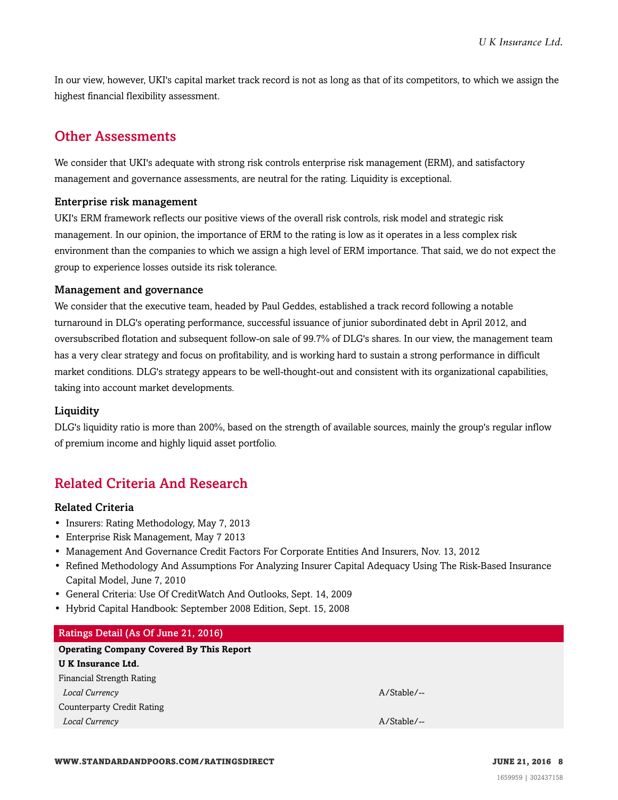In our view, however, UKI's capital market track record is not as long as that of its competitors, to which we assign the highest financial flexibility assessment.

## <span id="page-7-0"></span>Other Assessments

We consider that UKI's adequate with strong risk controls enterprise risk management (ERM), and satisfactory management and governance assessments, are neutral for the rating. Liquidity is exceptional.

## Enterprise risk management

UKI's ERM framework reflects our positive views of the overall risk controls, risk model and strategic risk management. In our opinion, the importance of ERM to the rating is low as it operates in a less complex risk environment than the companies to which we assign a high level of ERM importance. That said, we do not expect the group to experience losses outside its risk tolerance.

## Management and governance

We consider that the executive team, headed by Paul Geddes, established a track record following a notable turnaround in DLG's operating performance, successful issuance of junior subordinated debt in April 2012, and oversubscribed flotation and subsequent follow-on sale of 99.7% of DLG's shares. In our view, the management team has a very clear strategy and focus on profitability, and is working hard to sustain a strong performance in difficult market conditions. DLG's strategy appears to be well-thought-out and consistent with its organizational capabilities, taking into account market developments.

## **Liquidity**

DLG's liquidity ratio is more than 200%, based on the strength of available sources, mainly the group's regular inflow of premium income and highly liquid asset portfolio.

## <span id="page-7-1"></span>Related Criteria And Research

## Related Criteria

- Insurers: Rating Methodology, May 7, 2013
- Enterprise Risk Management, May 7 2013
- Management And Governance Credit Factors For Corporate Entities And Insurers, Nov. 13, 2012
- Refined Methodology And Assumptions For Analyzing Insurer Capital Adequacy Using The Risk-Based Insurance Capital Model, June 7, 2010
- General Criteria: Use Of CreditWatch And Outlooks, Sept. 14, 2009
- Hybrid Capital Handbook: September 2008 Edition, Sept. 15, 2008

## Ratings Detail (As Of June 21, 2016)

## **Operating Company Covered By This Report**

| U K Insurance Ltd.         |               |  |
|----------------------------|---------------|--|
| Financial Strength Rating  |               |  |
| Local Currency             | $A/Stable/--$ |  |
| Counterparty Credit Rating |               |  |
| Local Currency             | $A/Stable/--$ |  |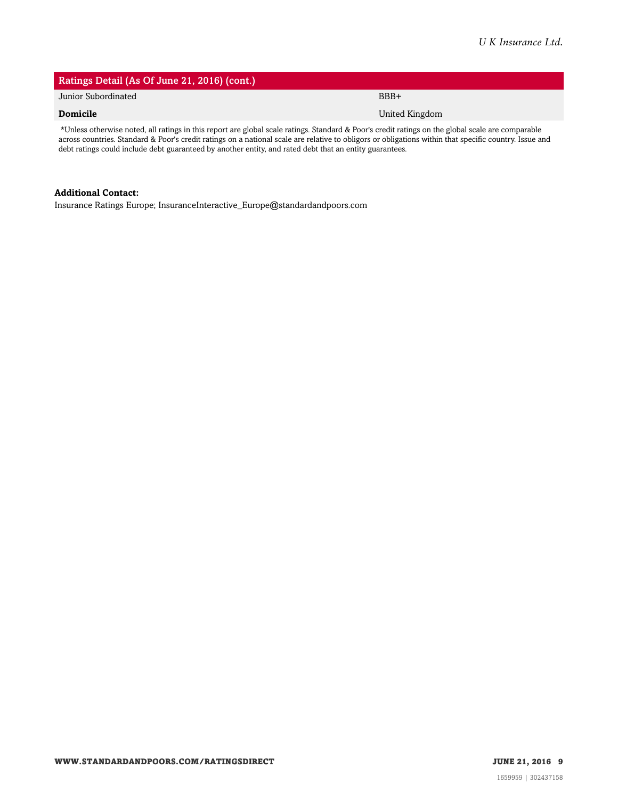## Ratings Detail (As Of June 21, 2016) (cont.) Junior Subordinated BBB+ **Domicile** United Kingdom **Domicile** United Kingdom **United Kingdom**

\*Unless otherwise noted, all ratings in this report are global scale ratings. Standard & Poor's credit ratings on the global scale are comparable across countries. Standard & Poor's credit ratings on a national scale are relative to obligors or obligations within that specific country. Issue and debt ratings could include debt guaranteed by another entity, and rated debt that an entity guarantees.

### **Additional Contact:**

Insurance Ratings Europe; InsuranceInteractive\_Europe@standardandpoors.com